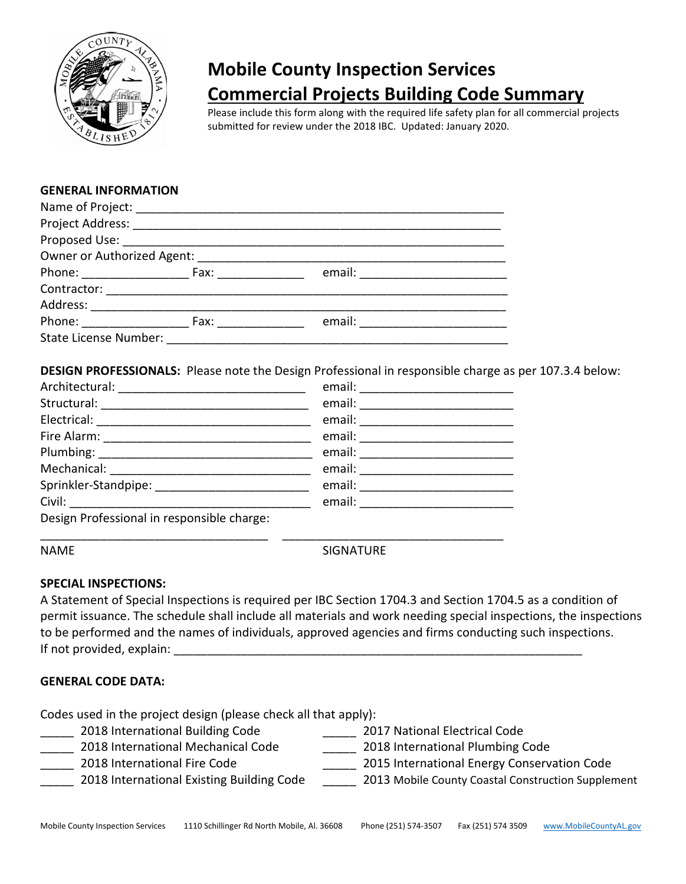

# **Mobile County Inspection Services Commercial Projects Building Code Summary**

Please include this form along with the required life safety plan for all commercial projects submitted for review under the 2018 IBC. Updated: January 2020.

#### **GENERAL INFORMATION**

|                              | Owner or Authorized Agent: ____________                                                                                                                                                                                        |  |
|------------------------------|--------------------------------------------------------------------------------------------------------------------------------------------------------------------------------------------------------------------------------|--|
|                              |                                                                                                                                                                                                                                |  |
|                              |                                                                                                                                                                                                                                |  |
|                              | Address: ___________________________                                                                                                                                                                                           |  |
| Phone: _________________     | Fax: and the state of the state of the state of the state of the state of the state of the state of the state of the state of the state of the state of the state of the state of the state of the state of the state of the s |  |
| <b>State License Number:</b> |                                                                                                                                                                                                                                |  |

**DESIGN PROFESSIONALS:** Please note the Design Professional in responsible charge as per 107.3.4 below:

|                                            | email: _________________         |
|--------------------------------------------|----------------------------------|
|                                            |                                  |
|                                            | email: _________________________ |
|                                            | email: ______________________    |
|                                            |                                  |
|                                            |                                  |
|                                            | email: _____________             |
| Design Professional in responsible charge: |                                  |

\_\_\_\_\_\_\_\_\_\_\_\_\_\_\_\_\_\_\_\_\_\_\_\_\_\_\_\_\_\_\_\_\_\_ \_\_\_\_\_\_\_\_\_\_\_\_\_\_\_\_\_\_\_\_\_\_\_\_\_\_\_\_\_\_\_\_\_

NAME SIGNATURE

#### **SPECIAL INSPECTIONS:**

A Statement of Special Inspections is required per IBC Section 1704.3 and Section 1704.5 as a condition of permit issuance. The schedule shall include all materials and work needing special inspections, the inspections to be performed and the names of individuals, approved agencies and firms conducting such inspections. If not provided, explain:

#### **GENERAL CODE DATA:**

Codes used in the project design (please check all that apply):

- \_\_\_\_\_ 2018 International Building Code \_\_\_\_\_ 2017 National Electrical Code
	- \_\_\_\_\_ 2018 International Mechanical Code \_\_\_\_\_ 2018 International Plumbing Code
- 
- \_\_\_\_\_ 2018 International Fire Code \_\_\_\_\_ 2015 International Energy Conservation Code
- 2018 International Existing Building Code 2013 Mobile County Coastal Construction Supplement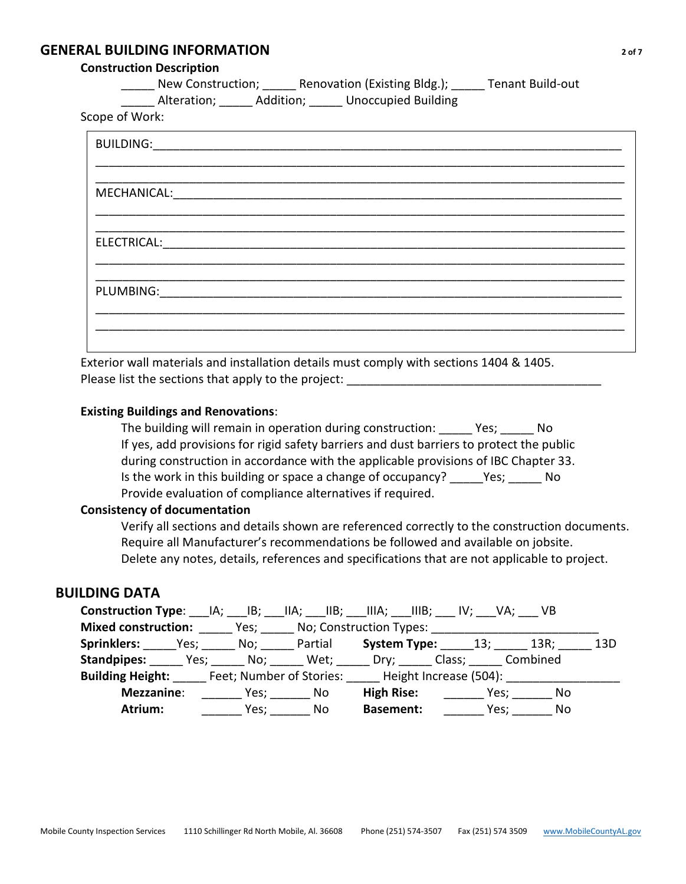### **GENERAL BUILDING INFORMATION** *20f7*

#### **Construction Description**

New Construction; and Renovation (Existing Bldg.); Tenant Build-out

\_\_\_\_\_ Alteration; \_\_\_\_\_ Addition; \_\_\_\_\_ Unoccupied Building

Scope of Work:

| MECHANICAL:<br><u> 1980 - Jan Sterling von Berling von Berling von Berling von Berling von Berling von Berling von Berling von B</u> |
|--------------------------------------------------------------------------------------------------------------------------------------|
|                                                                                                                                      |
|                                                                                                                                      |
| <b>ELECTRICAL:</b>                                                                                                                   |
|                                                                                                                                      |
| PLUMBING:                                                                                                                            |
|                                                                                                                                      |
|                                                                                                                                      |
|                                                                                                                                      |

Exterior wall materials and installation details must comply with sections 1404 & 1405. Please list the sections that apply to the project:

#### **Existing Buildings and Renovations**:

The building will remain in operation during construction: \_\_\_\_\_ Yes; \_\_\_\_\_ No If yes, add provisions for rigid safety barriers and dust barriers to protect the public during construction in accordance with the applicable provisions of IBC Chapter 33. Is the work in this building or space a change of occupancy? Yes; No Provide evaluation of compliance alternatives if required.

#### **Consistency of documentation**

Verify all sections and details shown are referenced correctly to the construction documents. Require all Manufacturer's recommendations be followed and available on jobsite. Delete any notes, details, references and specifications that are not applicable to project.

#### **BUILDING DATA**

| Construction Type: _____IA; ____IB; ____IIA; ____IIIA; ____IIIB; ____ IV; ____VA; ____ VB |      |     |                                                    |     |  |
|-------------------------------------------------------------------------------------------|------|-----|----------------------------------------------------|-----|--|
| <b>Mixed construction:</b> Yes; No; Construction Types:                                   |      |     |                                                    |     |  |
| Sprinklers: Yes; No; Partial System Type: 13; 13R; 13D                                    |      |     |                                                    |     |  |
| <b>Standpipes:</b> Yes; No; Wet; Dry; Class; Combined                                     |      |     |                                                    |     |  |
| <b>Building Height:</b> Feet; Number of Stories: Height Increase (504):                   |      |     |                                                    |     |  |
| Mezzanine:                                                                                |      |     | <b>High Rise:</b> ____________________ Yes; ______ | No. |  |
| Atrium:                                                                                   | Yes; | No. | <b>Basement:</b> Yes;                              | No  |  |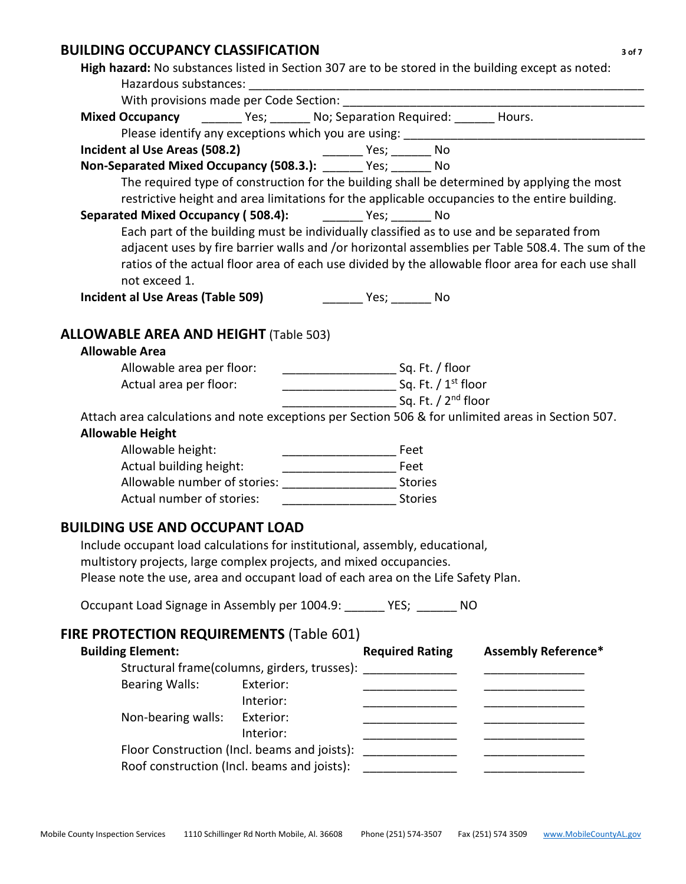# **BUILDING OCCUPANCY CLASSIFICATION** *3 of 7*

| High hazard: No substances listed in Section 307 are to be stored in the building except as noted: |                                                                                                    |
|----------------------------------------------------------------------------------------------------|----------------------------------------------------------------------------------------------------|
|                                                                                                    |                                                                                                    |
|                                                                                                    |                                                                                                    |
| Mixed Occupancy _________ Yes; _______ No; Separation Required: _______ Hours.                     |                                                                                                    |
|                                                                                                    |                                                                                                    |
|                                                                                                    |                                                                                                    |
| Non-Separated Mixed Occupancy (508.3.): ______ Yes; ______ No                                      |                                                                                                    |
|                                                                                                    | The required type of construction for the building shall be determined by applying the most        |
|                                                                                                    | restrictive height and area limitations for the applicable occupancies to the entire building.     |
| Separated Mixed Occupancy (508.4): _______ Yes; ______ No                                          |                                                                                                    |
|                                                                                                    | Each part of the building must be individually classified as to use and be separated from          |
|                                                                                                    | adjacent uses by fire barrier walls and /or horizontal assemblies per Table 508.4. The sum of the  |
|                                                                                                    | ratios of the actual floor area of each use divided by the allowable floor area for each use shall |
| not exceed 1.                                                                                      |                                                                                                    |
| Incident al Use Areas (Table 509)                                                                  | ______ Yes; ________ No                                                                            |
|                                                                                                    |                                                                                                    |
| <b>ALLOWABLE AREA AND HEIGHT (Table 503)</b>                                                       |                                                                                                    |
| <b>Allowable Area</b>                                                                              |                                                                                                    |
| Allowable area per floor:                                                                          |                                                                                                    |
| Actual area per floor:                                                                             |                                                                                                    |
|                                                                                                    |                                                                                                    |
| Attach area calculations and note exceptions per Section 506 & for unlimited areas in Section 507. |                                                                                                    |
| <b>Allowable Height</b>                                                                            |                                                                                                    |
| Allowable height:                                                                                  |                                                                                                    |
|                                                                                                    |                                                                                                    |
| Allowable number of stories: Stories Management Control of Stories                                 |                                                                                                    |
| Actual number of stories:                                                                          | <b>Stories</b>                                                                                     |
| <b>BUILDING USE AND OCCUPANT LOAD</b>                                                              |                                                                                                    |
| Include occupant load calculations for institutional, assembly, educational,                       |                                                                                                    |
| multistory projects, large complex projects, and mixed occupancies.                                |                                                                                                    |
| Please note the use, area and occupant load of each area on the Life Safety Plan.                  |                                                                                                    |
|                                                                                                    |                                                                                                    |
| Occupant Load Signage in Assembly per 1004.9: ______ YES; ______ NO                                |                                                                                                    |
| FIRE PROTECTION REQUIREMENTS (Table 601)                                                           |                                                                                                    |
| <b>Building Element:</b>                                                                           | <b>Required Rating</b><br><b>Assembly Reference*</b>                                               |
| Structural frame(columns, girders, trusses):                                                       |                                                                                                    |
| Exterior:                                                                                          |                                                                                                    |
| <b>Bearing Walls:</b><br>Interior:                                                                 | <u> 1980 - Johann Barbara, martin a</u>                                                            |
|                                                                                                    | <u> 1980 - Johann Barbara, martin di</u>                                                           |
| Non-bearing walls:<br>Exterior:                                                                    |                                                                                                    |
| Interior:                                                                                          |                                                                                                    |
|                                                                                                    |                                                                                                    |
| Roof construction (Incl. beams and joists):                                                        |                                                                                                    |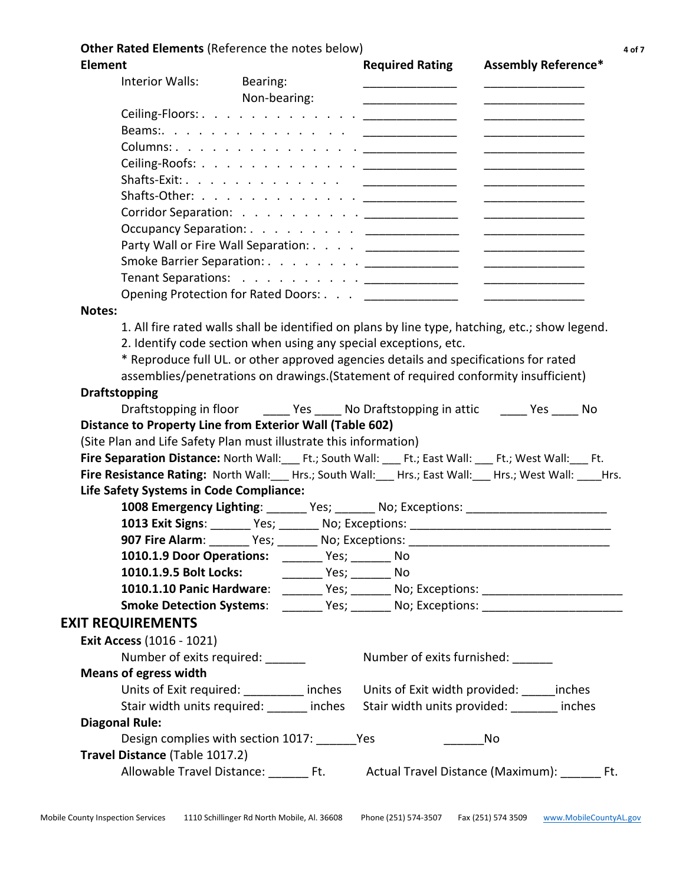#### **Other Rated Elements** (Reference the notes below) **4 of 7** and 7

| <b>Element</b>                                                                               |                                                                  | <b>Required Rating</b>                                                                                                                                                                                                               | <b>Assembly Reference*</b>                                                                                                                                                                                                           |
|----------------------------------------------------------------------------------------------|------------------------------------------------------------------|--------------------------------------------------------------------------------------------------------------------------------------------------------------------------------------------------------------------------------------|--------------------------------------------------------------------------------------------------------------------------------------------------------------------------------------------------------------------------------------|
| Interior Walls:                                                                              | Bearing:                                                         |                                                                                                                                                                                                                                      |                                                                                                                                                                                                                                      |
|                                                                                              | Non-bearing:                                                     | <u> 1989 - Johann Stoff, deutscher Stoffen und der Stoffen und der Stoffen und der Stoffen und der Stoffen und der Stoffen und der Stoffen und der Stoffen und der Stoffen und der Stoffen und der Stoffen und der Stoffen und d</u> |                                                                                                                                                                                                                                      |
|                                                                                              |                                                                  |                                                                                                                                                                                                                                      | <u> Listen de la componenta</u>                                                                                                                                                                                                      |
|                                                                                              |                                                                  |                                                                                                                                                                                                                                      |                                                                                                                                                                                                                                      |
|                                                                                              | Columns: <u>.</u>                                                |                                                                                                                                                                                                                                      |                                                                                                                                                                                                                                      |
|                                                                                              |                                                                  |                                                                                                                                                                                                                                      |                                                                                                                                                                                                                                      |
|                                                                                              |                                                                  |                                                                                                                                                                                                                                      | <u> The Communication of the Communication of the Communication of the Communication of the Communication of the Communication of the Communication of the Communication of the Communication of the Communication of the Commun</u> |
|                                                                                              | Shafts-Other: <u>__________</u> ____                             |                                                                                                                                                                                                                                      |                                                                                                                                                                                                                                      |
|                                                                                              |                                                                  |                                                                                                                                                                                                                                      |                                                                                                                                                                                                                                      |
|                                                                                              |                                                                  | Occupancy Separation: <u>___________</u>                                                                                                                                                                                             |                                                                                                                                                                                                                                      |
|                                                                                              |                                                                  | Party Wall or Fire Wall Separation: ________________                                                                                                                                                                                 |                                                                                                                                                                                                                                      |
|                                                                                              |                                                                  |                                                                                                                                                                                                                                      |                                                                                                                                                                                                                                      |
|                                                                                              |                                                                  |                                                                                                                                                                                                                                      |                                                                                                                                                                                                                                      |
|                                                                                              | Opening Protection for Rated Doors: _________________            |                                                                                                                                                                                                                                      | <u> 1989 - Johann Stoff, deutscher Stoffen und der Stoffen und der Stoffen und der Stoffen und der Stoffen und der Stoffen und der Stoffen und der Stoffen und der Stoffen und der Stoffen und der Stoffen und der Stoffen und d</u> |
| Notes:                                                                                       |                                                                  |                                                                                                                                                                                                                                      |                                                                                                                                                                                                                                      |
|                                                                                              |                                                                  |                                                                                                                                                                                                                                      | 1. All fire rated walls shall be identified on plans by line type, hatching, etc.; show legend.                                                                                                                                      |
|                                                                                              | 2. Identify code section when using any special exceptions, etc. |                                                                                                                                                                                                                                      |                                                                                                                                                                                                                                      |
|                                                                                              |                                                                  | * Reproduce full UL. or other approved agencies details and specifications for rated                                                                                                                                                 |                                                                                                                                                                                                                                      |
|                                                                                              |                                                                  | assemblies/penetrations on drawings.(Statement of required conformity insufficient)                                                                                                                                                  |                                                                                                                                                                                                                                      |
| <b>Draftstopping</b>                                                                         |                                                                  |                                                                                                                                                                                                                                      |                                                                                                                                                                                                                                      |
|                                                                                              |                                                                  |                                                                                                                                                                                                                                      | Draftstopping in floor _______ Yes ______ No Draftstopping in attic _______ Yes _____ No                                                                                                                                             |
| <b>Distance to Property Line from Exterior Wall (Table 602)</b>                              |                                                                  |                                                                                                                                                                                                                                      |                                                                                                                                                                                                                                      |
| (Site Plan and Life Safety Plan must illustrate this information)                            |                                                                  |                                                                                                                                                                                                                                      |                                                                                                                                                                                                                                      |
| Fire Separation Distance: North Wall: Ft.; South Wall: Ft.; East Wall: Ft.; West Wall: Ft.   |                                                                  |                                                                                                                                                                                                                                      |                                                                                                                                                                                                                                      |
| Fire Resistance Rating: North Wall: Hrs.; South Wall: Hrs.; East Wall: Hrs.; West Wall: Hrs. |                                                                  |                                                                                                                                                                                                                                      |                                                                                                                                                                                                                                      |
| Life Safety Systems in Code Compliance:                                                      |                                                                  |                                                                                                                                                                                                                                      |                                                                                                                                                                                                                                      |
|                                                                                              |                                                                  |                                                                                                                                                                                                                                      | 1008 Emergency Lighting: ______ Yes; ______ No; Exceptions: ____________________                                                                                                                                                     |
|                                                                                              |                                                                  |                                                                                                                                                                                                                                      | 1013 Exit Signs: _______ Yes; _______ No; Exceptions: ___________________________                                                                                                                                                    |
|                                                                                              |                                                                  |                                                                                                                                                                                                                                      | 907 Fire Alarm: _______ Yes; _______ No; Exceptions: ___________________________                                                                                                                                                     |
|                                                                                              |                                                                  | <b>1010.1.9 Door Operations:</b> _________ Yes; ________ No                                                                                                                                                                          |                                                                                                                                                                                                                                      |
| 1010.1.9.5 Bolt Locks:                                                                       | _________ Yes; _________ No                                      |                                                                                                                                                                                                                                      |                                                                                                                                                                                                                                      |
|                                                                                              |                                                                  |                                                                                                                                                                                                                                      | 1010.1.10 Panic Hardware: _______ Yes; ______ No; Exceptions: __________________                                                                                                                                                     |
|                                                                                              |                                                                  |                                                                                                                                                                                                                                      | Smoke Detection Systems: _______ Yes; _______ No; Exceptions: __________________                                                                                                                                                     |
| <b>EXIT REQUIREMENTS</b>                                                                     |                                                                  |                                                                                                                                                                                                                                      |                                                                                                                                                                                                                                      |
| <b>Exit Access (1016 - 1021)</b>                                                             |                                                                  |                                                                                                                                                                                                                                      |                                                                                                                                                                                                                                      |
| Number of exits required:                                                                    |                                                                  | Number of exits furnished: _______                                                                                                                                                                                                   |                                                                                                                                                                                                                                      |
| <b>Means of egress width</b>                                                                 |                                                                  |                                                                                                                                                                                                                                      |                                                                                                                                                                                                                                      |
|                                                                                              | Units of Exit required: inches                                   |                                                                                                                                                                                                                                      | Units of Exit width provided: inches                                                                                                                                                                                                 |
|                                                                                              | Stair width units required: ______ inches                        |                                                                                                                                                                                                                                      | Stair width units provided: _______ inches                                                                                                                                                                                           |
| <b>Diagonal Rule:</b>                                                                        |                                                                  |                                                                                                                                                                                                                                      |                                                                                                                                                                                                                                      |
|                                                                                              | Design complies with section 1017: Ves                           |                                                                                                                                                                                                                                      | No                                                                                                                                                                                                                                   |
| Travel Distance (Table 1017.2)                                                               |                                                                  |                                                                                                                                                                                                                                      |                                                                                                                                                                                                                                      |
|                                                                                              |                                                                  |                                                                                                                                                                                                                                      | Allowable Travel Distance: Ft. Actual Travel Distance (Maximum): Ft.                                                                                                                                                                 |
|                                                                                              |                                                                  |                                                                                                                                                                                                                                      |                                                                                                                                                                                                                                      |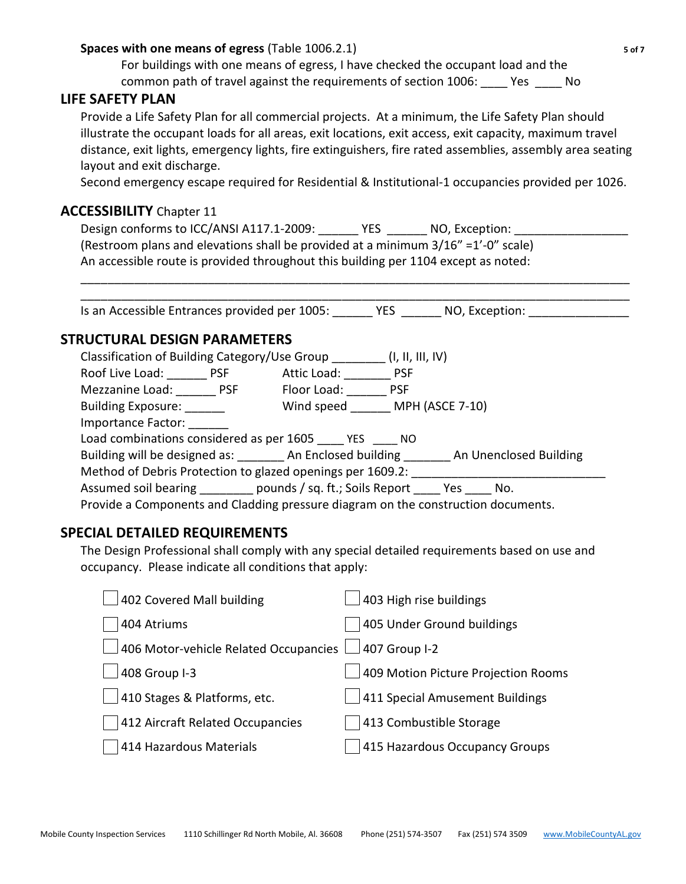#### **Spaces with one means of egress** (Table 1006.2.1) **5 of 7**

For buildings with one means of egress, I have checked the occupant load and the common path of travel against the requirements of section 1006: \_\_\_\_ Yes \_\_\_\_ No

#### **LIFE SAFETY PLAN**

Provide a Life Safety Plan for all commercial projects. At a minimum, the Life Safety Plan should illustrate the occupant loads for all areas, exit locations, exit access, exit capacity, maximum travel distance, exit lights, emergency lights, fire extinguishers, fire rated assemblies, assembly area seating layout and exit discharge.

Second emergency escape required for Residential & Institutional-1 occupancies provided per 1026.

### **ACCESSIBILITY** Chapter 11

Design conforms to ICC/ANSI A117.1-2009: YES \_\_\_\_\_ NO, Exception: \_\_\_\_\_\_\_\_\_\_\_\_\_\_ (Restroom plans and elevations shall be provided at a minimum  $3/16'' = 1'$ -0" scale) An accessible route is provided throughout this building per 1104 except as noted:

\_\_\_\_\_\_\_\_\_\_\_\_\_\_\_\_\_\_\_\_\_\_\_\_\_\_\_\_\_\_\_\_\_\_\_\_\_\_\_\_\_\_\_\_\_\_\_\_\_\_\_\_\_\_\_\_\_\_\_\_\_\_\_\_\_\_\_\_\_\_\_\_\_\_\_\_\_\_\_\_\_\_ Is an Accessible Entrances provided per 1005: The MES The NO, Exception:  $\blacksquare$ 

\_\_\_\_\_\_\_\_\_\_\_\_\_\_\_\_\_\_\_\_\_\_\_\_\_\_\_\_\_\_\_\_\_\_\_\_\_\_\_\_\_\_\_\_\_\_\_\_\_\_\_\_\_\_\_\_\_\_\_\_\_\_\_\_\_\_\_\_\_\_\_\_\_\_\_\_\_\_\_\_\_\_

# **STRUCTURAL DESIGN PARAMETERS**

| Classification of Building Category/Use Group (I, II, III, IV)                    |                 |                                                                                              |  |  |
|-----------------------------------------------------------------------------------|-----------------|----------------------------------------------------------------------------------------------|--|--|
| Roof Live Load: PSF                                                               | Attic Load: PSF |                                                                                              |  |  |
| Mezzanine Load: PSF                                                               | Floor Load:     | <b>PSF</b>                                                                                   |  |  |
| <b>Building Exposure:</b>                                                         |                 | Wind speed MPH (ASCE 7-10)                                                                   |  |  |
| Importance Factor:                                                                |                 |                                                                                              |  |  |
| Load combinations considered as per 1605 YES ____ NO                              |                 |                                                                                              |  |  |
|                                                                                   |                 | Building will be designed as: __________ An Enclosed building _______ An Unenclosed Building |  |  |
| Method of Debris Protection to glazed openings per 1609.2:                        |                 |                                                                                              |  |  |
| Assumed soil bearing pounds / sq. ft.; Soils Report Yes No.                       |                 |                                                                                              |  |  |
| Provide a Components and Cladding pressure diagram on the construction documents. |                 |                                                                                              |  |  |

## **SPECIAL DETAILED REQUIREMENTS**

The Design Professional shall comply with any special detailed requirements based on use and occupancy. Please indicate all conditions that apply:

| 405 Under Ground buildings<br>404 Atriums<br>406 Motor-vehicle Related Occupancies<br>407 Group I-2<br>408 Group I-3<br>411 Special Amusement Buildings<br>410 Stages & Platforms, etc.<br>413 Combustible Storage<br>412 Aircraft Related Occupancies<br>415 Hazardous Occupancy Groups<br>414 Hazardous Materials | 402 Covered Mall building | 403 High rise buildings             |
|---------------------------------------------------------------------------------------------------------------------------------------------------------------------------------------------------------------------------------------------------------------------------------------------------------------------|---------------------------|-------------------------------------|
|                                                                                                                                                                                                                                                                                                                     |                           |                                     |
|                                                                                                                                                                                                                                                                                                                     |                           |                                     |
|                                                                                                                                                                                                                                                                                                                     |                           | 409 Motion Picture Projection Rooms |
|                                                                                                                                                                                                                                                                                                                     |                           |                                     |
|                                                                                                                                                                                                                                                                                                                     |                           |                                     |
|                                                                                                                                                                                                                                                                                                                     |                           |                                     |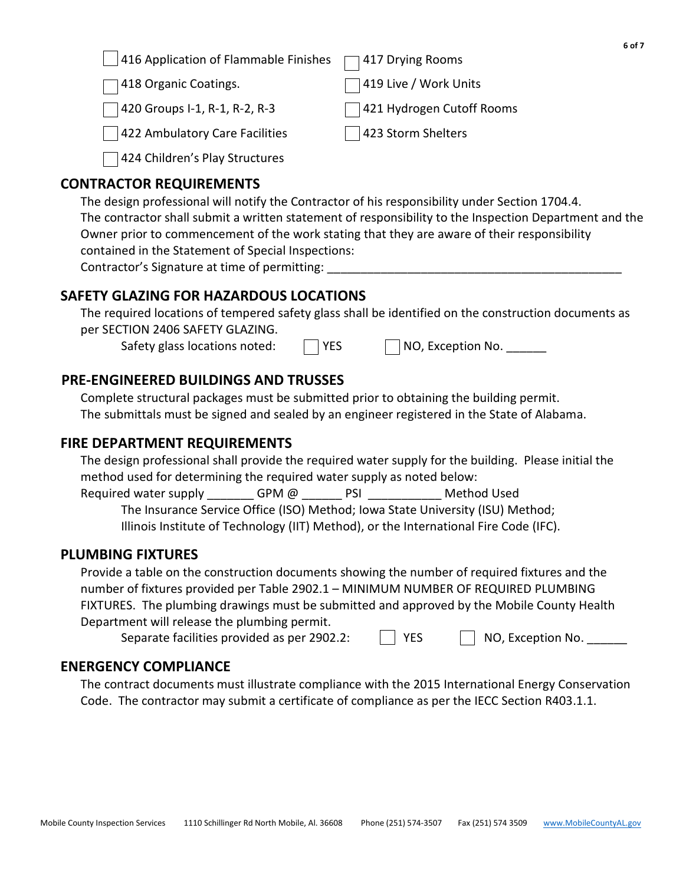416 Application of Flammable Finishes  $\Box$  417 Drying Rooms

1418 Organic Coatings. 1419 Live / Work Units

420 Groups I-1, R-1, R-2, R-3 421 Hydrogen Cutoff Rooms

422 Ambulatory Care Facilities 1423 Storm Shelters

424 Children's Play Structures

# **CONTRACTOR REQUIREMENTS**

The design professional will notify the Contractor of his responsibility under Section 1704.4. The contractor shall submit a written statement of responsibility to the Inspection Department and the Owner prior to commencement of the work stating that they are aware of their responsibility contained in the Statement of Special Inspections: Contractor's Signature at time of permitting:

# **SAFETY GLAZING FOR HAZARDOUS LOCATIONS**

The required locations of tempered safety glass shall be identified on the construction documents as per SECTION 2406 SAFETY GLAZING.

Safety glass locations noted:  $\Box$  YES  $\Box$  NO, Exception No.

# **PRE-ENGINEERED BUILDINGS AND TRUSSES**

Complete structural packages must be submitted prior to obtaining the building permit. The submittals must be signed and sealed by an engineer registered in the State of Alabama.

# **FIRE DEPARTMENT REQUIREMENTS**

The design professional shall provide the required water supply for the building. Please initial the method used for determining the required water supply as noted below:

Required water supply  $GPM @$  PSI  $Q$  PM Method Used

The Insurance Service Office (ISO) Method; Iowa State University (ISU) Method; Illinois Institute of Technology (IIT) Method), or the International Fire Code (IFC).

# **PLUMBING FIXTURES**

Provide a table on the construction documents showing the number of required fixtures and the number of fixtures provided per Table 2902.1 – MINIMUM NUMBER OF REQUIRED PLUMBING FIXTURES. The plumbing drawings must be submitted and approved by the Mobile County Health Department will release the plumbing permit.

Separate facilities provided as per 2902.2:

| $\vert$ $\vert$ YES | $\vert$ NO, Exception No. |
|---------------------|---------------------------|
|                     |                           |

# **ENERGENCY COMPLIANCE**

The contract documents must illustrate compliance with the 2015 International Energy Conservation Code. The contractor may submit a certificate of compliance as per the IECC Section R403.1.1.